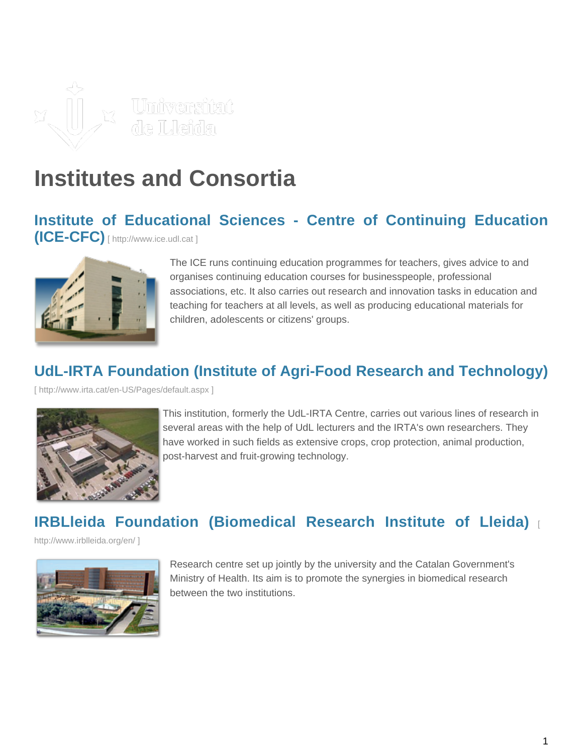

# **Institutes and Consortia**

#### **[Institute of Educational Sciences - Centre of Continuing Educ](http://www.ice.udl.cat)ation [\(ICE-CFC\)](http://www.ice.udl.cat)** [ http://www.ice.udl.cat ]



The ICE runs continuing education programmes for teachers, gives advice to and organises continuing education courses for businesspeople, professional associations, etc. It also carries out research and innovation tasks in education and teaching for teachers at all levels, as well as producing educational materials for children, adolescents or citizens' groups.

# **[UdL-IRTA Foundation \(Institute of Agri-Food Research and Technology\)](http://www.irta.cat/en-US/Pages/default.aspx)**

[\[ http://www.irta.cat/en-US/Pages/default.aspx \]](http://www.irta.cat/en-US/Pages/default.aspx)



This institution, formerly the UdL-IRTA Centre, carries out various lines of research in several areas with the help of UdL lecturers and the IRTA's own researchers. They have worked in such fields as extensive crops, crop protection, animal production, post-harvest and fruit-growing technology.

# **[IRBLleida Foundation \(Biomedical Research Institute of Lleida\)](http://www.irblleida.org/en/)** [

[http://www.irblleida.org/en/ \]](http://www.irblleida.org/en/)



Research centre set up jointly by the university and the Catalan Government's Ministry of Health. Its aim is to promote the synergies in biomedical research between the two institutions.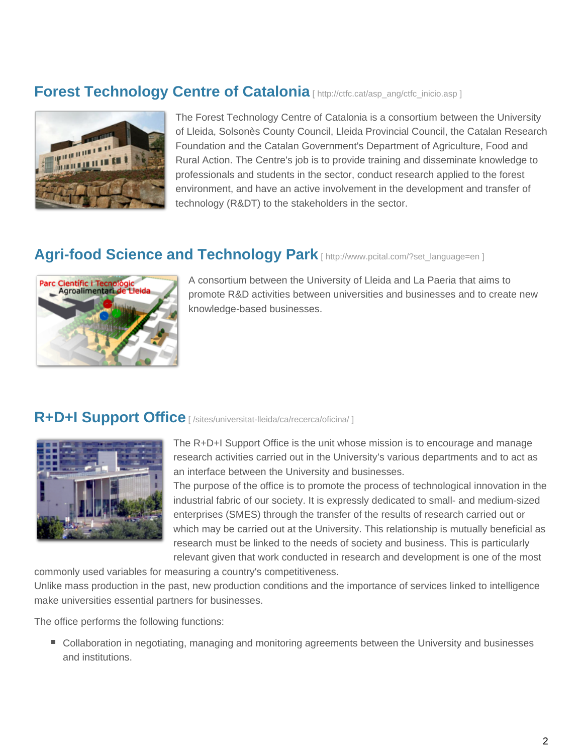#### **[Forest Technology Centre of Catalonia](http://ctfc.cat/asp_ang/ctfc_inicio.asp)** [ http://ctfc.cat/asp\_ang/ctfc\_inicio.asp ]



The Forest Technology Centre of Catalonia is a consortium between the University of Lleida, Solsonès County Council, Lleida Provincial Council, the Catalan Research Foundation and the Catalan Government's Department of Agriculture, Food and Rural Action. The Centre's job is to provide training and disseminate knowledge to professionals and students in the sector, conduct research applied to the forest environment, and have an active involvement in the development and transfer of technology (R&DT) to the stakeholders in the sector.

### [Agri-food Science and Technology Park](http://www.pcital.com/?set_language=en) [ http://www.pcital.com/?set\_language=en ]



A consortium between the University of Lleida and La Paeria that aims to promote R&D activities between universities and businesses and to create new knowledge-based businesses.

#### **R+D+I Support Office** [ /sites/universitat-lleida/ca/recerca/oficina/ ]



The R+D+I Support Office is the unit whose mission is to encourage and manage research activities carried out in the University's various departments and to act as an interface between the University and businesses.

The purpose of the office is to promote the process of technological innovation in the industrial fabric of our society. It is expressly dedicated to small- and medium-sized enterprises (SMES) through the transfer of the results of research carried out or which may be carried out at the University. This relationship is mutually beneficial as research must be linked to the needs of society and business. This is particularly relevant given that work conducted in research and development is one of the most

commonly used variables for measuring a country's competitiveness. Unlike mass production in the past, new production conditions and the importance of services linked to intelligence make universities essential partners for businesses.

The office performs the following functions:

■ Collaboration in negotiating, managing and monitoring agreements between the University and businesses and institutions.